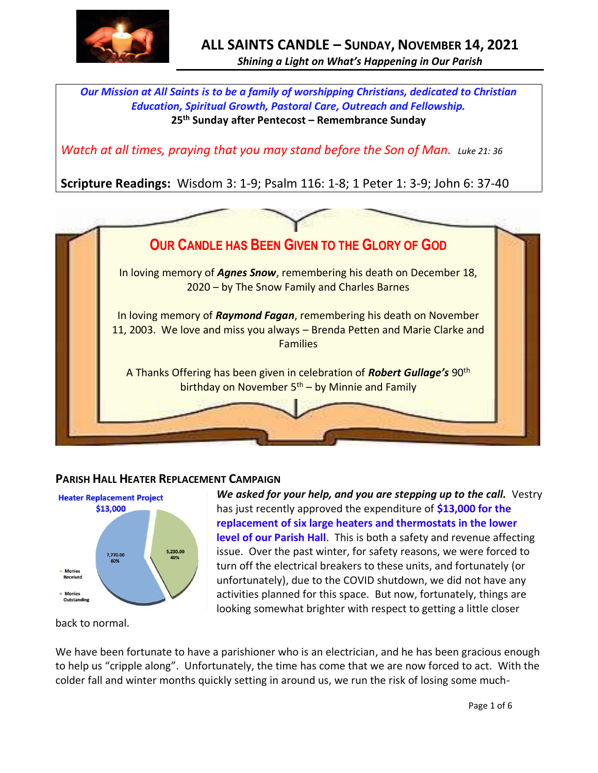

*Our Mission at All Saints is to be a family of worshipping Christians, dedicated to Christian Education, Spiritual Growth, Pastoral Care, Outreach and Fellowship.* **25 th Sunday after Pentecost – Remembrance Sunday**

*Watch at all times, praying that you may stand before the Son of Man. Luke 21: 36* 

**Scripture Readings:** Wisdom 3: 1-9; Psalm 116: 1-8; 1 Peter 1: 3-9; John 6: 37-40



## **PARISH HALL HEATER REPLACEMENT CAMPAIGN**



*We asked for your help, and you are stepping up to the call.* Vestry has just recently approved the expenditure of **\$13,000 for the replacement of six large heaters and thermostats in the lower level of our Parish Hall**. This is both a safety and revenue affecting issue. Over the past winter, for safety reasons, we were forced to turn off the electrical breakers to these units, and fortunately (or unfortunately), due to the COVID shutdown, we did not have any activities planned for this space. But now, fortunately, things are looking somewhat brighter with respect to getting a little closer

back to normal.

We have been fortunate to have a parishioner who is an electrician, and he has been gracious enough to help us "cripple along". Unfortunately, the time has come that we are now forced to act. With the colder fall and winter months quickly setting in around us, we run the risk of losing some much-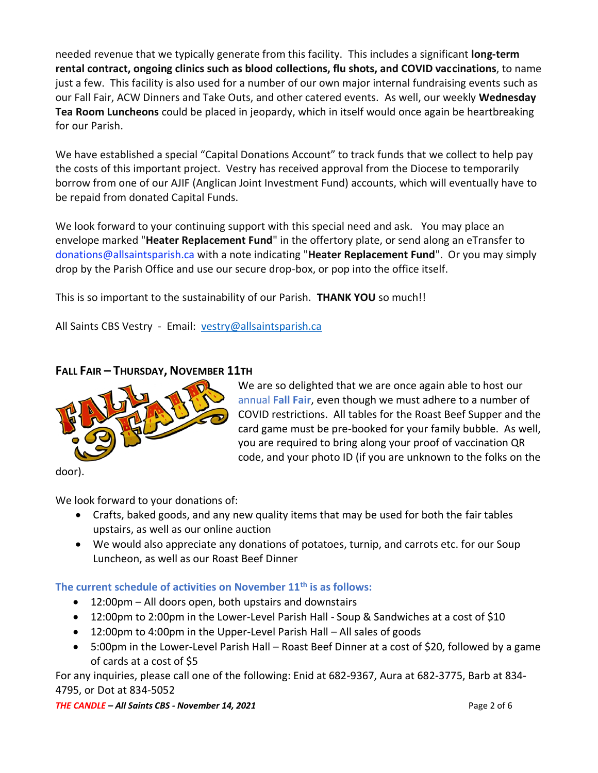needed revenue that we typically generate from this facility. This includes a significant **long-term rental contract, ongoing clinics such as blood collections, flu shots, and COVID vaccinations**, to name just a few. This facility is also used for a number of our own major internal fundraising events such as our Fall Fair, ACW Dinners and Take Outs, and other catered events. As well, our weekly **Wednesday Tea Room Luncheons** could be placed in jeopardy, which in itself would once again be heartbreaking for our Parish.

We have established a special "Capital Donations Account" to track funds that we collect to help pay the costs of this important project. Vestry has received approval from the Diocese to temporarily borrow from one of our AJIF (Anglican Joint Investment Fund) accounts, which will eventually have to be repaid from donated Capital Funds.

We look forward to your continuing support with this special need and ask. You may place an envelope marked "**Heater Replacement Fund**" in the offertory plate, or send along an eTransfer to donations@allsaintsparish.ca with a note indicating "**Heater Replacement Fund**". Or you may simply drop by the Parish Office and use our secure drop-box, or pop into the office itself.

This is so important to the sustainability of our Parish. **THANK YOU** so much!!

All Saints CBS Vestry - Email: [vestry@allsaintsparish.ca](mailto:vestry@allsaintsparish.ca)

# **FALL FAIR – THURSDAY, NOVEMBER 11TH**



We are so delighted that we are once again able to host our annual **Fall Fair**, even though we must adhere to a number of COVID restrictions. All tables for the Roast Beef Supper and the card game must be pre-booked for your family bubble. As well, you are required to bring along your proof of vaccination QR code, and your photo ID (if you are unknown to the folks on the

door).

We look forward to your donations of:

- Crafts, baked goods, and any new quality items that may be used for both the fair tables upstairs, as well as our online auction
- We would also appreciate any donations of potatoes, turnip, and carrots etc. for our Soup Luncheon, as well as our Roast Beef Dinner

#### **The current schedule of activities on November 11th is as follows:**

- 12:00pm All doors open, both upstairs and downstairs
- 12:00pm to 2:00pm in the Lower-Level Parish Hall Soup & Sandwiches at a cost of \$10
- 12:00pm to 4:00pm in the Upper-Level Parish Hall All sales of goods
- 5:00pm in the Lower-Level Parish Hall Roast Beef Dinner at a cost of \$20, followed by a game of cards at a cost of \$5

For any inquiries, please call one of the following: Enid at 682-9367, Aura at 682-3775, Barb at 834- 4795, or Dot at 834-5052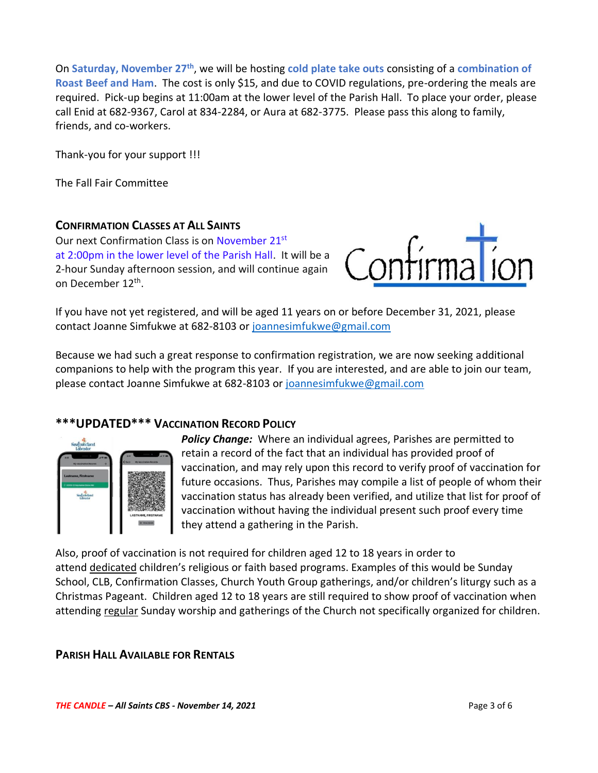On **Saturday, November 27th**, we will be hosting **cold plate take outs** consisting of a **combination of Roast Beef and Ham**. The cost is only \$15, and due to COVID regulations, pre-ordering the meals are required. Pick-up begins at 11:00am at the lower level of the Parish Hall. To place your order, please call Enid at 682-9367, Carol at 834-2284, or Aura at 682-3775. Please pass this along to family, friends, and co-workers.

Thank-you for your support !!!

The Fall Fair Committee

#### **CONFIRMATION CLASSES AT ALL SAINTS**

Our next Confirmation Class is on November 21<sup>st</sup> at 2:00pm in the lower level of the Parish Hall. It will be a 2-hour Sunday afternoon session, and will continue again on December 12<sup>th</sup>.



If you have not yet registered, and will be aged 11 years on or before December 31, 2021, please contact Joanne Simfukwe at 682-8103 or [joannesimfukwe@gmail.com](mailto:joannesimfukwe@gmail.com)

Because we had such a great response to confirmation registration, we are now seeking additional companions to help with the program this year. If you are interested, and are able to join our team, please contact Joanne Simfukwe at 682-8103 or [joannesimfukwe@gmail.com](mailto:joannesimfukwe@gmail.com)

#### **\*\*\*UPDATED\*\*\* VACCINATION RECORD POLICY**



*Policy Change:* Where an individual agrees, Parishes are permitted to retain a record of the fact that an individual has provided proof of vaccination, and may rely upon this record to verify proof of vaccination for future occasions. Thus, Parishes may compile a list of people of whom their vaccination status has already been verified, and utilize that list for proof of vaccination without having the individual present such proof every time they attend a gathering in the Parish.

Also, proof of vaccination is not required for children aged 12 to 18 years in order to attend dedicated children's religious or faith based programs. Examples of this would be Sunday School, CLB, Confirmation Classes, Church Youth Group gatherings, and/or children's liturgy such as a Christmas Pageant. Children aged 12 to 18 years are still required to show proof of vaccination when attending regular Sunday worship and gatherings of the Church not specifically organized for children.

#### **PARISH HALL AVAILABLE FOR RENTALS**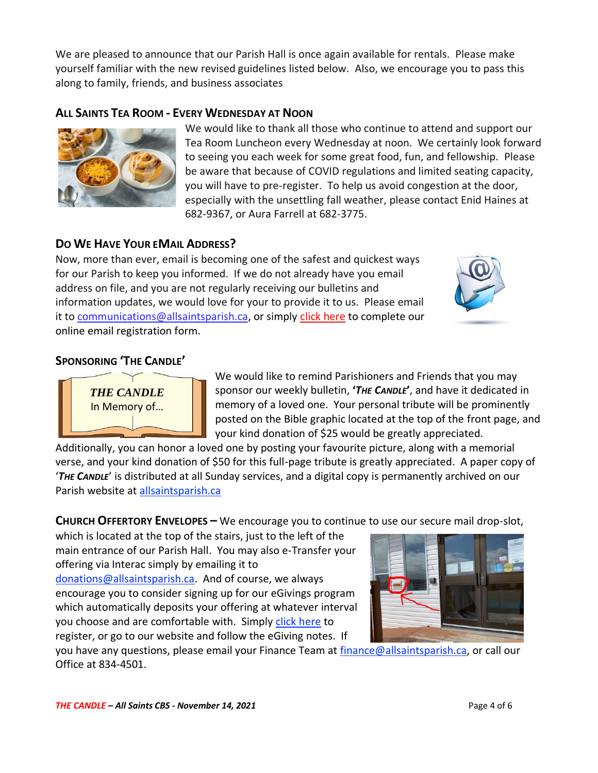We are pleased to announce that our Parish Hall is once again available for rentals. Please make yourself familiar with the new revised guidelines listed below. Also, we encourage you to pass this along to family, friends, and business associates

## **ALL SAINTS TEA ROOM - EVERY WEDNESDAY AT NOON**



We would like to thank all those who continue to attend and support our Tea Room Luncheon every Wednesday at noon. We certainly look forward to seeing you each week for some great food, fun, and fellowship. Please be aware that because of COVID regulations and limited seating capacity, you will have to pre-register. To help us avoid congestion at the door, especially with the unsettling fall weather, please contact Enid Haines at 682-9367, or Aura Farrell at 682-3775.

#### **DO WE HAVE YOUR EMAIL ADDRESS?**

Now, more than ever, email is becoming one of the safest and quickest ways for our Parish to keep you informed. If we do not already have you email address on file, and you are not regularly receiving our bulletins and information updates, we would love for your to provide it to us. Please email it to [communications@allsaintsparish.ca,](mailto:communications@allsaintsparish.ca?subject=eMail%20Address%20Update) or simply [click here](http://allsaintsparish.ca/email_updates) to complete our online email registration form.



### **SPONSORING 'THE CANDLE'**



We would like to remind Parishioners and Friends that you may sponsor our weekly bulletin, **'***THE CANDLE***'**, and have it dedicated in memory of a loved one. Your personal tribute will be prominently posted on the Bible graphic located at the top of the front page, and your kind donation of \$25 would be greatly appreciated.

Additionally, you can honor a loved one by posting your favourite picture, along with a memorial verse, and your kind donation of \$50 for this full-page tribute is greatly appreciated. A paper copy of '*THE CANDLE*' is distributed at all Sunday services, and a digital copy is permanently archived on our Parish website at [allsaintsparish.ca](http://allsaintsparish.ca/thecandle.html)

**CHURCH OFFERTORY ENVELOPES –** We encourage you to continue to use our secure mail drop-slot,

which is located at the top of the stairs, just to the left of the main entrance of our Parish Hall. You may also e-Transfer your offering via Interac simply by emailing it to [donations@allsaintsparish.ca.](mailto:donations@allsaintsparish.ca) And of course, we always encourage you to consider signing up for our eGivings program which automatically deposits your offering at whatever interval you choose and are comfortable with. Simply [click here](http://allsaintsparish.ca/egiving-online-information-form) to register, or go to our website and follow the eGiving notes. If



you have [any](https://wfsites-to.websitecreatorprotool.com/870a5dd5.com/Admin/%7BSK_NODEID__22939341__SK%7D) questions, please email your Finance Team at [finance@allsaintsparish.ca,](mailto:finance@allsaintsparish.ca) or call our Office at 834-4501.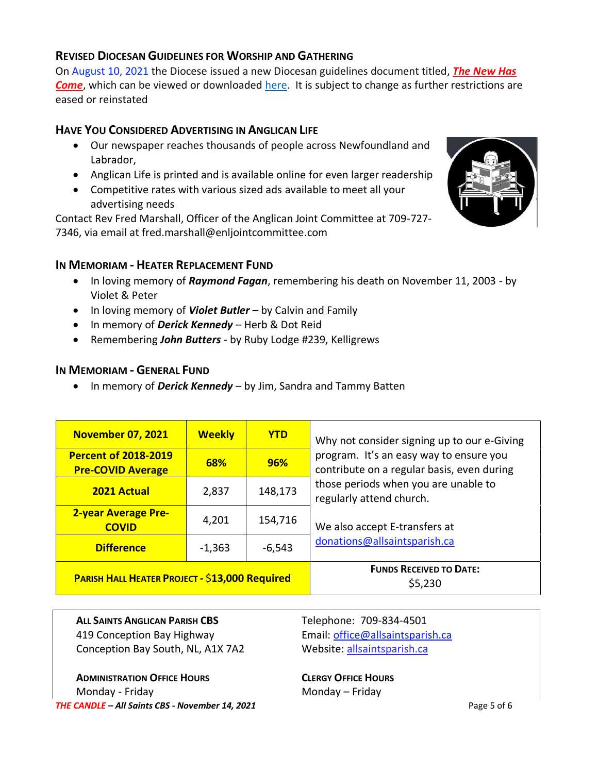#### **REVISED DIOCESAN GUIDELINES FOR WORSHIP AND GATHERING**

On August 10, 2021 the Diocese issued a new Diocesan guidelines document titled, *[The New Has](https://anglicanenl.net/home/wp-content/uploads/2021/08/The-New-Has-Come-August-10-2021.pdf?fbclid=IwAR2_9nhbxB2LEc3XOqAP_nvoRu4G5Mt6NWIYwOEYNI0OtUl0atv2QwCfCY0)*  **[Come](https://anglicanenl.net/home/wp-content/uploads/2021/08/The-New-Has-Come-August-10-2021.pdf?fbclid=IwAR2_9nhbxB2LEc3XOqAP_nvoRu4G5Mt6NWIYwOEYNI0OtUl0atv2QwCfCY0)**, which can be viewed or downloaded [here.](https://anglicanenl.net/home/wp-content/uploads/2021/08/The-New-Has-Come-August-10-2021.pdf?fbclid=IwAR2_9nhbxB2LEc3XOqAP_nvoRu4G5Mt6NWIYwOEYNI0OtUl0atv2QwCfCY0) It is subject to change as further restrictions are eased or reinstated

### **HAVE YOU CONSIDERED ADVERTISING IN ANGLICAN LIFE**

- Our newspaper reaches thousands of people across Newfoundland and Labrador,
- Anglican Life is printed and is available online for even larger readership
- Competitive rates with various sized ads available to meet all your advertising needs

Contact Rev Fred Marshall, Officer of the Anglican Joint Committee at 709-727- 7346, via email at fred.marshall@enljointcommittee.com



#### **IN MEMORIAM - HEATER REPLACEMENT FUND**

- In loving memory of *Raymond Fagan*, remembering his death on November 11, 2003 by Violet & Peter
- In loving memory of *Violet Butler* by Calvin and Family
- In memory of *Derick Kennedy* Herb & Dot Reid
- Remembering *John Butters* by Ruby Lodge #239, Kelligrews

#### **IN MEMORIAM - GENERAL FUND**

• In memory of *Derick Kennedy* – by Jim, Sandra and Tammy Batten

| <b>November 07, 2021</b>                                | <b>Weekly</b> | <b>YTD</b> | Why not consider signing up to our e-Giving<br>program. It's an easy way to ensure you<br>contribute on a regular basis, even during<br>those periods when you are unable to<br>regularly attend church.<br>We also accept E-transfers at<br>donations@allsaintsparish.ca |
|---------------------------------------------------------|---------------|------------|---------------------------------------------------------------------------------------------------------------------------------------------------------------------------------------------------------------------------------------------------------------------------|
| <b>Percent of 2018-2019</b><br><b>Pre-COVID Average</b> | 68%           | 96%        |                                                                                                                                                                                                                                                                           |
| <b>2021 Actual</b>                                      | 2,837         | 148,173    |                                                                                                                                                                                                                                                                           |
| <b>2-year Average Pre-</b><br><b>COVID</b>              | 4,201         | 154,716    |                                                                                                                                                                                                                                                                           |
| <b>Difference</b>                                       | $-1,363$      | $-6,543$   |                                                                                                                                                                                                                                                                           |
| <b>PARISH HALL HEATER PROJECT - \$13,000 Required</b>   |               |            | <b>FUNDS RECEIVED TO DATE:</b><br>\$5,230                                                                                                                                                                                                                                 |

**ALL SAINTS ANGLICAN PARISH CBS** Telephone: 709-834-4501 419 Conception Bay Highway Email: [office@allsaintsparish.ca](mailto:office@allsaintsparish.ca) Conception Bay South, NL, A1X 7A2 Website: [allsaintsparish.ca](http://allsaintsparish.ca/)

*THE CANDLE – All Saints CBS - November 14, 2021* Page 5 of 6 **ADMINISTRATION OFFICE HOURS CLERGY OFFICE HOURS** Monday - Friday **Monday – Friday**